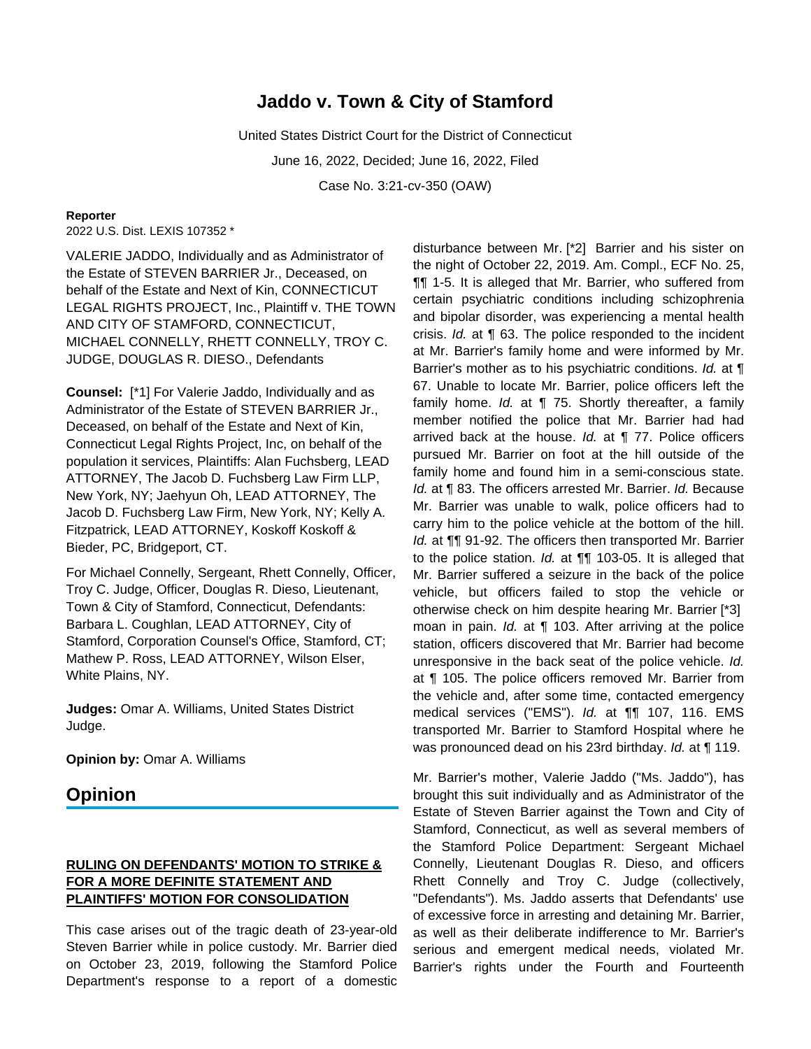# **Jaddo v. Town & City of Stamford**

United States District Court for the District of Connecticut June 16, 2022, Decided; June 16, 2022, Filed Case No. 3:21-cv-350 (OAW)

#### **Reporter**

2022 U.S. Dist. LEXIS 107352 \*

VALERIE JADDO, Individually and as Administrator of the Estate of STEVEN BARRIER Jr., Deceased, on behalf of the Estate and Next of Kin, CONNECTICUT LEGAL RIGHTS PROJECT, Inc., Plaintiff v. THE TOWN AND CITY OF STAMFORD, CONNECTICUT, MICHAEL CONNELLY, RHETT CONNELLY, TROY C. JUDGE, DOUGLAS R. DIESO., Defendants

**Counsel:** [\*1] For Valerie Jaddo, Individually and as Administrator of the Estate of STEVEN BARRIER Jr., Deceased, on behalf of the Estate and Next of Kin, Connecticut Legal Rights Project, Inc, on behalf of the population it services, Plaintiffs: Alan Fuchsberg, LEAD ATTORNEY, The Jacob D. Fuchsberg Law Firm LLP, New York, NY; Jaehyun Oh, LEAD ATTORNEY, The Jacob D. Fuchsberg Law Firm, New York, NY; Kelly A. Fitzpatrick, LEAD ATTORNEY, Koskoff Koskoff & Bieder, PC, Bridgeport, CT.

For Michael Connelly, Sergeant, Rhett Connelly, Officer, Troy C. Judge, Officer, Douglas R. Dieso, Lieutenant, Town & City of Stamford, Connecticut, Defendants: Barbara L. Coughlan, LEAD ATTORNEY, City of Stamford, Corporation Counsel's Office, Stamford, CT; Mathew P. Ross, LEAD ATTORNEY, Wilson Elser, White Plains, NY.

**Judges:** Omar A. Williams, United States District Judge.

**Opinion by:** Omar A. Williams

## **Opinion**

## **RULING ON DEFENDANTS' MOTION TO STRIKE & FOR A MORE DEFINITE STATEMENT AND PLAINTIFFS' MOTION FOR CONSOLIDATION**

This case arises out of the tragic death of 23-year-old Steven Barrier while in police custody. Mr. Barrier died on October 23, 2019, following the Stamford Police Department's response to a report of a domestic disturbance between Mr. [\*2] Barrier and his sister on the night of October 22, 2019. Am. Compl., ECF No. 25, ¶¶ 1-5. It is alleged that Mr. Barrier, who suffered from certain psychiatric conditions including schizophrenia and bipolar disorder, was experiencing a mental health crisis. Id. at ¶ 63. The police responded to the incident at Mr. Barrier's family home and were informed by Mr. Barrier's mother as to his psychiatric conditions. Id. at ¶ 67. Unable to locate Mr. Barrier, police officers left the family home. Id. at  $\P$  75. Shortly thereafter, a family member notified the police that Mr. Barrier had had arrived back at the house. Id. at ¶ 77. Police officers pursued Mr. Barrier on foot at the hill outside of the family home and found him in a semi-conscious state. Id. at ¶ 83. The officers arrested Mr. Barrier. Id. Because Mr. Barrier was unable to walk, police officers had to carry him to the police vehicle at the bottom of the hill. Id. at  $\P$  91-92. The officers then transported Mr. Barrier to the police station. Id. at  $\P\P$  103-05. It is alleged that Mr. Barrier suffered a seizure in the back of the police vehicle, but officers failed to stop the vehicle or otherwise check on him despite hearing Mr. Barrier [\*3] moan in pain. Id. at ¶ 103. After arriving at the police station, officers discovered that Mr. Barrier had become unresponsive in the back seat of the police vehicle. Id. at ¶ 105. The police officers removed Mr. Barrier from the vehicle and, after some time, contacted emergency medical services ("EMS"). Id. at ¶¶ 107, 116. EMS transported Mr. Barrier to Stamford Hospital where he was pronounced dead on his 23rd birthday. Id. at 119.

Mr. Barrier's mother, Valerie Jaddo ("Ms. Jaddo"), has brought this suit individually and as Administrator of the Estate of Steven Barrier against the Town and City of Stamford, Connecticut, as well as several members of the Stamford Police Department: Sergeant Michael Connelly, Lieutenant Douglas R. Dieso, and officers Rhett Connelly and Troy C. Judge (collectively, "Defendants"). Ms. Jaddo asserts that Defendants' use of excessive force in arresting and detaining Mr. Barrier, as well as their deliberate indifference to Mr. Barrier's serious and emergent medical needs, violated Mr. Barrier's rights under the Fourth and Fourteenth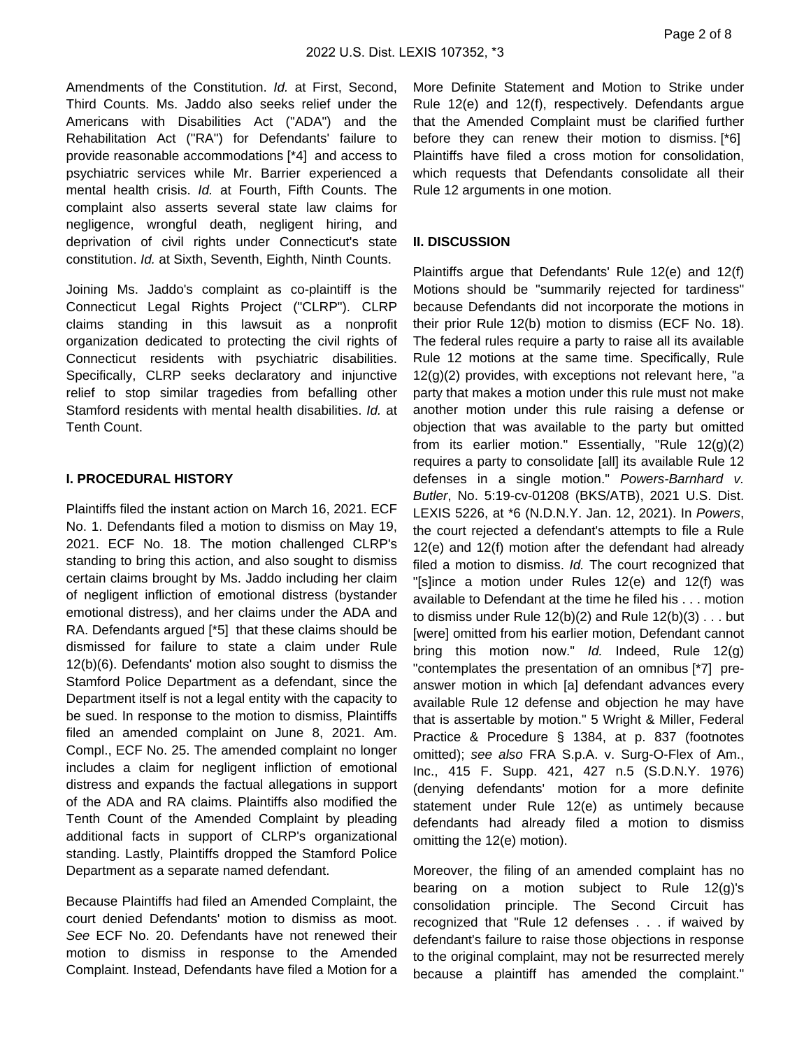Amendments of the Constitution. Id. at First, Second, Third Counts. Ms. Jaddo also seeks relief under the Americans with Disabilities Act ("ADA") and the Rehabilitation Act ("RA") for Defendants' failure to provide reasonable accommodations [\*4] and access to psychiatric services while Mr. Barrier experienced a mental health crisis. Id. at Fourth, Fifth Counts. The complaint also asserts several state law claims for negligence, wrongful death, negligent hiring, and deprivation of civil rights under Connecticut's state constitution. Id. at Sixth, Seventh, Eighth, Ninth Counts.

Joining Ms. Jaddo's complaint as co-plaintiff is the Connecticut Legal Rights Project ("CLRP"). CLRP claims standing in this lawsuit as a nonprofit organization dedicated to protecting the civil rights of Connecticut residents with psychiatric disabilities. Specifically, CLRP seeks declaratory and injunctive relief to stop similar tragedies from befalling other Stamford residents with mental health disabilities. Id. at Tenth Count.

#### **I. PROCEDURAL HISTORY**

Plaintiffs filed the instant action on March 16, 2021. ECF No. 1. Defendants filed a motion to dismiss on May 19, 2021. ECF No. 18. The motion challenged CLRP's standing to bring this action, and also sought to dismiss certain claims brought by Ms. Jaddo including her claim of negligent infliction of emotional distress (bystander emotional distress), and her claims under the ADA and RA. Defendants argued [\*5] that these claims should be dismissed for failure to state a claim under Rule 12(b)(6). Defendants' motion also sought to dismiss the Stamford Police Department as a defendant, since the Department itself is not a legal entity with the capacity to be sued. In response to the motion to dismiss, Plaintiffs filed an amended complaint on June 8, 2021. Am. Compl., ECF No. 25. The amended complaint no longer includes a claim for negligent infliction of emotional distress and expands the factual allegations in support of the ADA and RA claims. Plaintiffs also modified the Tenth Count of the Amended Complaint by pleading additional facts in support of CLRP's organizational standing. Lastly, Plaintiffs dropped the Stamford Police Department as a separate named defendant.

Because Plaintiffs had filed an Amended Complaint, the court denied Defendants' motion to dismiss as moot. See ECF No. 20. Defendants have not renewed their motion to dismiss in response to the Amended Complaint. Instead, Defendants have filed a Motion for a More Definite Statement and Motion to Strike under Rule 12(e) and 12(f), respectively. Defendants argue that the Amended Complaint must be clarified further before they can renew their motion to dismiss. [\*6] Plaintiffs have filed a cross motion for consolidation, which requests that Defendants consolidate all their Rule 12 arguments in one motion.

#### **II. DISCUSSION**

Plaintiffs argue that Defendants' Rule 12(e) and 12(f) Motions should be "summarily rejected for tardiness" because Defendants did not incorporate the motions in their prior Rule 12(b) motion to dismiss (ECF No. 18). The federal rules require a party to raise all its available Rule 12 motions at the same time. Specifically, Rule  $12(g)(2)$  provides, with exceptions not relevant here, "a party that makes a motion under this rule must not make another motion under this rule raising a defense or objection that was available to the party but omitted from its earlier motion." Essentially, "Rule 12(g)(2) requires a party to consolidate [all] its available Rule 12 defenses in a single motion." Powers-Barnhard v. Butler, No. 5:19-cv-01208 (BKS/ATB), 2021 U.S. Dist. LEXIS 5226, at \*6 (N.D.N.Y. Jan. 12, 2021). In Powers, the court rejected a defendant's attempts to file a Rule 12(e) and 12(f) motion after the defendant had already filed a motion to dismiss. Id. The court recognized that "[s]ince a motion under Rules 12(e) and 12(f) was available to Defendant at the time he filed his . . . motion to dismiss under Rule  $12(b)(2)$  and Rule  $12(b)(3)$ ... but [were] omitted from his earlier motion, Defendant cannot bring this motion now." Id. Indeed, Rule 12(g) "contemplates the presentation of an omnibus [\*7] preanswer motion in which [a] defendant advances every available Rule 12 defense and objection he may have that is assertable by motion." 5 Wright & Miller, Federal Practice & Procedure § 1384, at p. 837 (footnotes omitted); see also FRA S.p.A. v. Surg-O-Flex of Am., Inc., 415 F. Supp. 421, 427 n.5 (S.D.N.Y. 1976) (denying defendants' motion for a more definite statement under Rule 12(e) as untimely because defendants had already filed a motion to dismiss omitting the 12(e) motion).

Moreover, the filing of an amended complaint has no bearing on a motion subject to Rule 12(g)'s consolidation principle. The Second Circuit has recognized that "Rule 12 defenses . . . if waived by defendant's failure to raise those objections in response to the original complaint, may not be resurrected merely because a plaintiff has amended the complaint."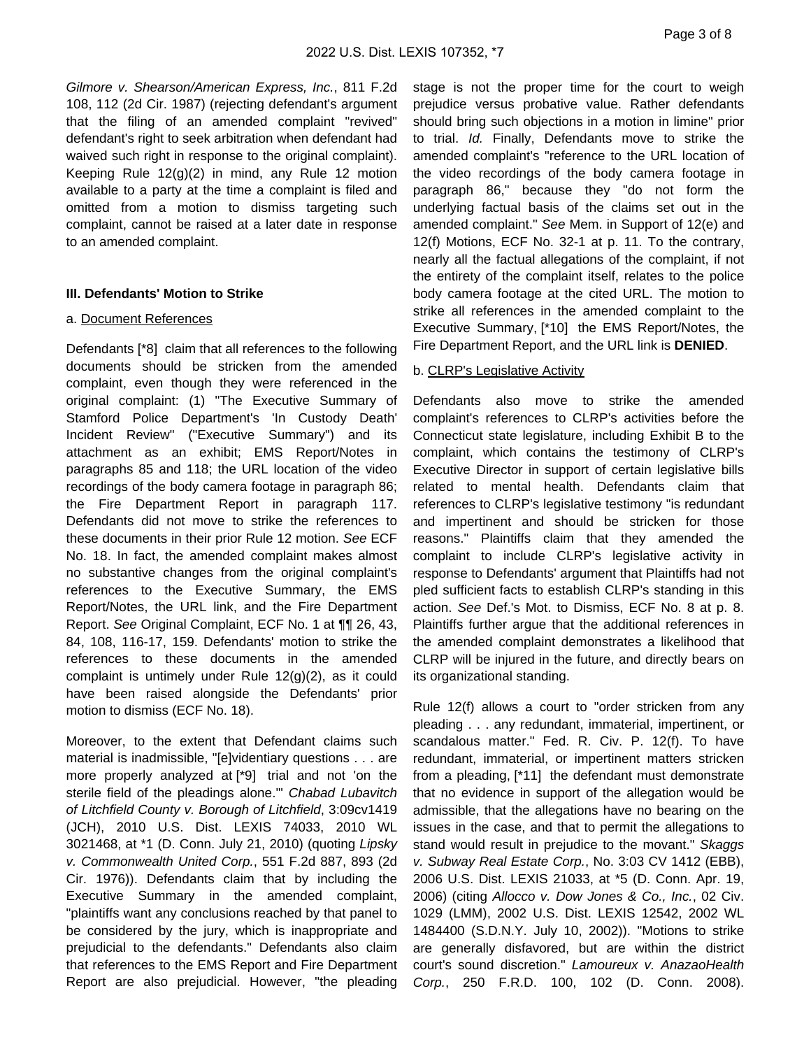Page 3 of 8

Gilmore v. Shearson/American Express, Inc., 811 F.2d 108, 112 (2d Cir. 1987) (rejecting defendant's argument that the filing of an amended complaint "revived" defendant's right to seek arbitration when defendant had waived such right in response to the original complaint). Keeping Rule 12(g)(2) in mind, any Rule 12 motion available to a party at the time a complaint is filed and omitted from a motion to dismiss targeting such complaint, cannot be raised at a later date in response to an amended complaint.

## **III. Defendants' Motion to Strike**

## a. Document References

Defendants [\*8] claim that all references to the following documents should be stricken from the amended complaint, even though they were referenced in the original complaint: (1) "The Executive Summary of Stamford Police Department's 'In Custody Death' Incident Review" ("Executive Summary") and its attachment as an exhibit; EMS Report/Notes in paragraphs 85 and 118; the URL location of the video recordings of the body camera footage in paragraph 86; the Fire Department Report in paragraph 117. Defendants did not move to strike the references to these documents in their prior Rule 12 motion. See ECF No. 18. In fact, the amended complaint makes almost no substantive changes from the original complaint's references to the Executive Summary, the EMS Report/Notes, the URL link, and the Fire Department Report. See Original Complaint, ECF No. 1 at ¶¶ 26, 43, 84, 108, 116-17, 159. Defendants' motion to strike the references to these documents in the amended complaint is untimely under Rule 12(g)(2), as it could have been raised alongside the Defendants' prior motion to dismiss (ECF No. 18).

Moreover, to the extent that Defendant claims such material is inadmissible, "[e]videntiary questions . . . are more properly analyzed at [\*9] trial and not 'on the sterile field of the pleadings alone." Chabad Lubavitch of Litchfield County v. Borough of Litchfield, 3:09cv1419 (JCH), 2010 U.S. Dist. LEXIS 74033, 2010 WL 3021468, at \*1 (D. Conn. July 21, 2010) (quoting Lipsky v. Commonwealth United Corp., 551 F.2d 887, 893 (2d Cir. 1976)). Defendants claim that by including the Executive Summary in the amended complaint, "plaintiffs want any conclusions reached by that panel to be considered by the jury, which is inappropriate and prejudicial to the defendants." Defendants also claim that references to the EMS Report and Fire Department Report are also prejudicial. However, "the pleading

stage is not the proper time for the court to weigh prejudice versus probative value. Rather defendants should bring such objections in a motion in limine" prior to trial. Id. Finally, Defendants move to strike the amended complaint's "reference to the URL location of the video recordings of the body camera footage in paragraph 86," because they "do not form the underlying factual basis of the claims set out in the amended complaint." See Mem. in Support of 12(e) and 12(f) Motions, ECF No. 32-1 at p. 11. To the contrary, nearly all the factual allegations of the complaint, if not the entirety of the complaint itself, relates to the police body camera footage at the cited URL. The motion to strike all references in the amended complaint to the Executive Summary, [\*10] the EMS Report/Notes, the Fire Department Report, and the URL link is **DENIED**.

## b. CLRP's Legislative Activity

Defendants also move to strike the amended complaint's references to CLRP's activities before the Connecticut state legislature, including Exhibit B to the complaint, which contains the testimony of CLRP's Executive Director in support of certain legislative bills related to mental health. Defendants claim that references to CLRP's legislative testimony "is redundant and impertinent and should be stricken for those reasons." Plaintiffs claim that they amended the complaint to include CLRP's legislative activity in response to Defendants' argument that Plaintiffs had not pled sufficient facts to establish CLRP's standing in this action. See Def.'s Mot. to Dismiss, ECF No. 8 at p. 8. Plaintiffs further argue that the additional references in the amended complaint demonstrates a likelihood that CLRP will be injured in the future, and directly bears on its organizational standing.

Rule 12(f) allows a court to "order stricken from any pleading . . . any redundant, immaterial, impertinent, or scandalous matter." Fed. R. Civ. P. 12(f). To have redundant, immaterial, or impertinent matters stricken from a pleading, [\*11] the defendant must demonstrate that no evidence in support of the allegation would be admissible, that the allegations have no bearing on the issues in the case, and that to permit the allegations to stand would result in prejudice to the movant." Skaggs v. Subway Real Estate Corp., No. 3:03 CV 1412 (EBB), 2006 U.S. Dist. LEXIS 21033, at \*5 (D. Conn. Apr. 19, 2006) (citing Allocco v. Dow Jones & Co., Inc., 02 Civ. 1029 (LMM), 2002 U.S. Dist. LEXIS 12542, 2002 WL 1484400 (S.D.N.Y. July 10, 2002)). "Motions to strike are generally disfavored, but are within the district court's sound discretion." Lamoureux v. AnazaoHealth Corp., 250 F.R.D. 100, 102 (D. Conn. 2008).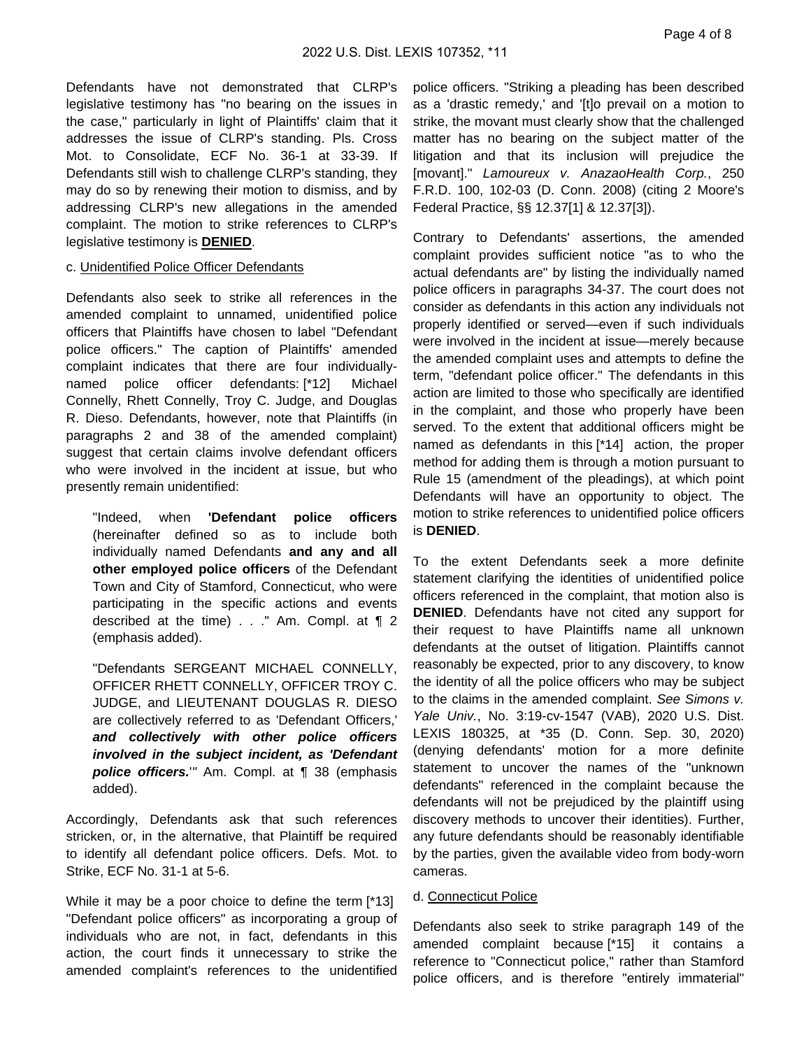Page 4 of 8

Defendants have not demonstrated that CLRP's legislative testimony has "no bearing on the issues in the case," particularly in light of Plaintiffs' claim that it addresses the issue of CLRP's standing. Pls. Cross Mot. to Consolidate, ECF No. 36-1 at 33-39. If Defendants still wish to challenge CLRP's standing, they may do so by renewing their motion to dismiss, and by addressing CLRP's new allegations in the amended complaint. The motion to strike references to CLRP's legislative testimony is **DENIED**.

#### c. Unidentified Police Officer Defendants

Defendants also seek to strike all references in the amended complaint to unnamed, unidentified police officers that Plaintiffs have chosen to label "Defendant police officers." The caption of Plaintiffs' amended complaint indicates that there are four individuallynamed police officer defendants: [\*12] Michael Connelly, Rhett Connelly, Troy C. Judge, and Douglas R. Dieso. Defendants, however, note that Plaintiffs (in paragraphs 2 and 38 of the amended complaint) suggest that certain claims involve defendant officers who were involved in the incident at issue, but who presently remain unidentified:

"Indeed, when **'Defendant police officers** (hereinafter defined so as to include both individually named Defendants **and any and all other employed police officers** of the Defendant Town and City of Stamford, Connecticut, who were participating in the specific actions and events described at the time) . . ." Am. Compl. at ¶ 2 (emphasis added).

"Defendants SERGEANT MICHAEL CONNELLY, OFFICER RHETT CONNELLY, OFFICER TROY C. JUDGE, and LIEUTENANT DOUGLAS R. DIESO are collectively referred to as 'Defendant Officers,' **and collectively with other police officers involved in the subject incident, as 'Defendant police officers.**'" Am. Compl. at ¶ 38 (emphasis added).

Accordingly, Defendants ask that such references stricken, or, in the alternative, that Plaintiff be required to identify all defendant police officers. Defs. Mot. to Strike, ECF No. 31-1 at 5-6.

While it may be a poor choice to define the term [\*13] "Defendant police officers" as incorporating a group of individuals who are not, in fact, defendants in this action, the court finds it unnecessary to strike the amended complaint's references to the unidentified

police officers. "Striking a pleading has been described as a 'drastic remedy,' and '[t]o prevail on a motion to strike, the movant must clearly show that the challenged matter has no bearing on the subject matter of the litigation and that its inclusion will prejudice the [movant]." Lamoureux v. AnazaoHealth Corp., 250 F.R.D. 100, 102-03 (D. Conn. 2008) (citing 2 Moore's Federal Practice, §§ 12.37[1] & 12.37[3]).

Contrary to Defendants' assertions, the amended complaint provides sufficient notice "as to who the actual defendants are" by listing the individually named police officers in paragraphs 34-37. The court does not consider as defendants in this action any individuals not properly identified or served—even if such individuals were involved in the incident at issue—merely because the amended complaint uses and attempts to define the term, "defendant police officer." The defendants in this action are limited to those who specifically are identified in the complaint, and those who properly have been served. To the extent that additional officers might be named as defendants in this [\*14] action, the proper method for adding them is through a motion pursuant to Rule 15 (amendment of the pleadings), at which point Defendants will have an opportunity to object. The motion to strike references to unidentified police officers is **DENIED**.

To the extent Defendants seek a more definite statement clarifying the identities of unidentified police officers referenced in the complaint, that motion also is **DENIED**. Defendants have not cited any support for their request to have Plaintiffs name all unknown defendants at the outset of litigation. Plaintiffs cannot reasonably be expected, prior to any discovery, to know the identity of all the police officers who may be subject to the claims in the amended complaint. See Simons v. Yale Univ., No. 3:19-cv-1547 (VAB), 2020 U.S. Dist. LEXIS 180325, at \*35 (D. Conn. Sep. 30, 2020) (denying defendants' motion for a more definite statement to uncover the names of the "unknown defendants" referenced in the complaint because the defendants will not be prejudiced by the plaintiff using discovery methods to uncover their identities). Further, any future defendants should be reasonably identifiable by the parties, given the available video from body-worn cameras.

#### d. Connecticut Police

Defendants also seek to strike paragraph 149 of the amended complaint because [\*15] it contains a reference to "Connecticut police," rather than Stamford police officers, and is therefore "entirely immaterial"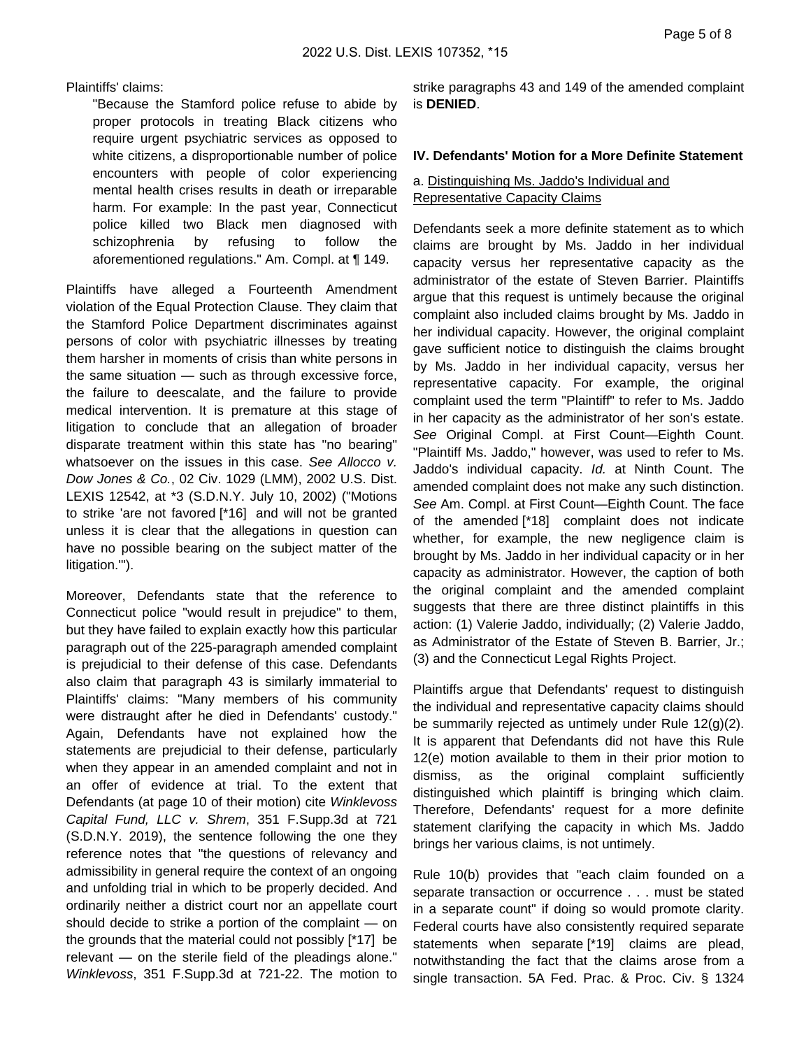Plaintiffs' claims:

"Because the Stamford police refuse to abide by proper protocols in treating Black citizens who require urgent psychiatric services as opposed to white citizens, a disproportionable number of police encounters with people of color experiencing mental health crises results in death or irreparable harm. For example: In the past year, Connecticut police killed two Black men diagnosed with schizophrenia by refusing to follow the aforementioned regulations." Am. Compl. at ¶ 149.

Plaintiffs have alleged a Fourteenth Amendment violation of the Equal Protection Clause. They claim that the Stamford Police Department discriminates against persons of color with psychiatric illnesses by treating them harsher in moments of crisis than white persons in the same situation — such as through excessive force, the failure to deescalate, and the failure to provide medical intervention. It is premature at this stage of litigation to conclude that an allegation of broader disparate treatment within this state has "no bearing" whatsoever on the issues in this case. See Allocco v. Dow Jones & Co., 02 Civ. 1029 (LMM), 2002 U.S. Dist. LEXIS 12542, at \*3 (S.D.N.Y. July 10, 2002) ("Motions to strike 'are not favored [\*16] and will not be granted unless it is clear that the allegations in question can have no possible bearing on the subject matter of the litigation.'").

Moreover, Defendants state that the reference to Connecticut police "would result in prejudice" to them, but they have failed to explain exactly how this particular paragraph out of the 225-paragraph amended complaint is prejudicial to their defense of this case. Defendants also claim that paragraph 43 is similarly immaterial to Plaintiffs' claims: "Many members of his community were distraught after he died in Defendants' custody." Again, Defendants have not explained how the statements are prejudicial to their defense, particularly when they appear in an amended complaint and not in an offer of evidence at trial. To the extent that Defendants (at page 10 of their motion) cite Winklevoss Capital Fund, LLC v. Shrem, 351 F.Supp.3d at 721 (S.D.N.Y. 2019), the sentence following the one they reference notes that "the questions of relevancy and admissibility in general require the context of an ongoing and unfolding trial in which to be properly decided. And ordinarily neither a district court nor an appellate court should decide to strike a portion of the complaint — on the grounds that the material could not possibly [\*17] be relevant — on the sterile field of the pleadings alone." Winklevoss, 351 F.Supp.3d at 721-22. The motion to

strike paragraphs 43 and 149 of the amended complaint is **DENIED**.

#### **IV. Defendants' Motion for a More Definite Statement**

## a. Distinguishing Ms. Jaddo's Individual and Representative Capacity Claims

Defendants seek a more definite statement as to which claims are brought by Ms. Jaddo in her individual capacity versus her representative capacity as the administrator of the estate of Steven Barrier. Plaintiffs argue that this request is untimely because the original complaint also included claims brought by Ms. Jaddo in her individual capacity. However, the original complaint gave sufficient notice to distinguish the claims brought by Ms. Jaddo in her individual capacity, versus her representative capacity. For example, the original complaint used the term "Plaintiff" to refer to Ms. Jaddo in her capacity as the administrator of her son's estate. See Original Compl. at First Count—Eighth Count. "Plaintiff Ms. Jaddo," however, was used to refer to Ms. Jaddo's individual capacity. Id. at Ninth Count. The amended complaint does not make any such distinction. See Am. Compl. at First Count—Eighth Count. The face of the amended [\*18] complaint does not indicate whether, for example, the new negligence claim is brought by Ms. Jaddo in her individual capacity or in her capacity as administrator. However, the caption of both the original complaint and the amended complaint suggests that there are three distinct plaintiffs in this action: (1) Valerie Jaddo, individually; (2) Valerie Jaddo, as Administrator of the Estate of Steven B. Barrier, Jr.; (3) and the Connecticut Legal Rights Project.

Plaintiffs argue that Defendants' request to distinguish the individual and representative capacity claims should be summarily rejected as untimely under Rule 12(g)(2). It is apparent that Defendants did not have this Rule 12(e) motion available to them in their prior motion to dismiss, as the original complaint sufficiently distinguished which plaintiff is bringing which claim. Therefore, Defendants' request for a more definite statement clarifying the capacity in which Ms. Jaddo brings her various claims, is not untimely.

Rule 10(b) provides that "each claim founded on a separate transaction or occurrence . . . must be stated in a separate count" if doing so would promote clarity. Federal courts have also consistently required separate statements when separate [\*19] claims are plead, notwithstanding the fact that the claims arose from a single transaction. 5A Fed. Prac. & Proc. Civ. § 1324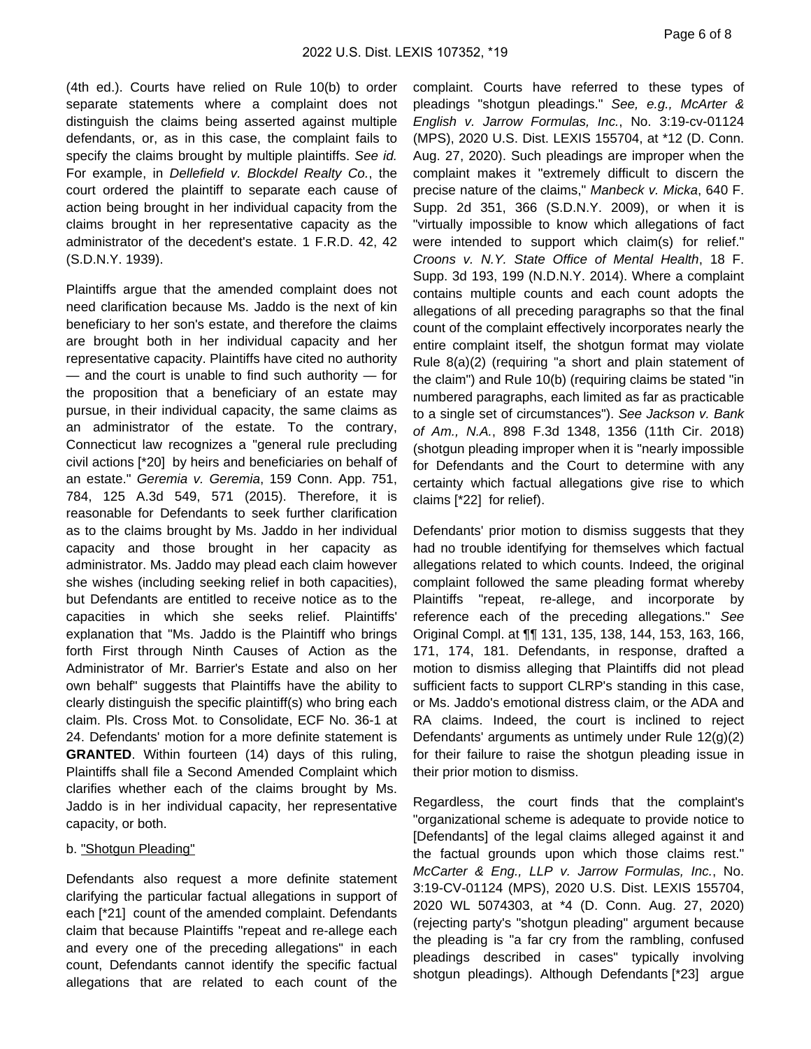(4th ed.). Courts have relied on Rule 10(b) to order separate statements where a complaint does not distinguish the claims being asserted against multiple defendants, or, as in this case, the complaint fails to specify the claims brought by multiple plaintiffs. See id. For example, in Dellefield v. Blockdel Realty Co., the court ordered the plaintiff to separate each cause of action being brought in her individual capacity from the claims brought in her representative capacity as the administrator of the decedent's estate. 1 F.R.D. 42, 42 (S.D.N.Y. 1939).

Plaintiffs argue that the amended complaint does not need clarification because Ms. Jaddo is the next of kin beneficiary to her son's estate, and therefore the claims are brought both in her individual capacity and her representative capacity. Plaintiffs have cited no authority  $-$  and the court is unable to find such authority  $-$  for the proposition that a beneficiary of an estate may pursue, in their individual capacity, the same claims as an administrator of the estate. To the contrary, Connecticut law recognizes a "general rule precluding civil actions [\*20] by heirs and beneficiaries on behalf of an estate." Geremia v. Geremia, 159 Conn. App. 751, 784, 125 A.3d 549, 571 (2015). Therefore, it is reasonable for Defendants to seek further clarification as to the claims brought by Ms. Jaddo in her individual capacity and those brought in her capacity as administrator. Ms. Jaddo may plead each claim however she wishes (including seeking relief in both capacities), but Defendants are entitled to receive notice as to the capacities in which she seeks relief. Plaintiffs' explanation that "Ms. Jaddo is the Plaintiff who brings forth First through Ninth Causes of Action as the Administrator of Mr. Barrier's Estate and also on her own behalf" suggests that Plaintiffs have the ability to clearly distinguish the specific plaintiff(s) who bring each claim. Pls. Cross Mot. to Consolidate, ECF No. 36-1 at 24. Defendants' motion for a more definite statement is **GRANTED**. Within fourteen (14) days of this ruling, Plaintiffs shall file a Second Amended Complaint which clarifies whether each of the claims brought by Ms. Jaddo is in her individual capacity, her representative capacity, or both.

#### b. "Shotgun Pleading"

Defendants also request a more definite statement clarifying the particular factual allegations in support of each [\*21] count of the amended complaint. Defendants claim that because Plaintiffs "repeat and re-allege each and every one of the preceding allegations" in each count, Defendants cannot identify the specific factual allegations that are related to each count of the

complaint. Courts have referred to these types of pleadings "shotgun pleadings." See, e.g., McArter & English v. Jarrow Formulas, Inc., No. 3:19-cv-01124 (MPS), 2020 U.S. Dist. LEXIS 155704, at \*12 (D. Conn. Aug. 27, 2020). Such pleadings are improper when the complaint makes it "extremely difficult to discern the precise nature of the claims," Manbeck v. Micka, 640 F. Supp. 2d 351, 366 (S.D.N.Y. 2009), or when it is "virtually impossible to know which allegations of fact were intended to support which claim(s) for relief." Croons v. N.Y. State Office of Mental Health, 18 F. Supp. 3d 193, 199 (N.D.N.Y. 2014). Where a complaint contains multiple counts and each count adopts the allegations of all preceding paragraphs so that the final count of the complaint effectively incorporates nearly the entire complaint itself, the shotgun format may violate Rule 8(a)(2) (requiring "a short and plain statement of the claim") and Rule 10(b) (requiring claims be stated "in numbered paragraphs, each limited as far as practicable to a single set of circumstances"). See Jackson v. Bank of Am., N.A., 898 F.3d 1348, 1356 (11th Cir. 2018) (shotgun pleading improper when it is "nearly impossible for Defendants and the Court to determine with any certainty which factual allegations give rise to which claims [\*22] for relief).

Defendants' prior motion to dismiss suggests that they had no trouble identifying for themselves which factual allegations related to which counts. Indeed, the original complaint followed the same pleading format whereby Plaintiffs "repeat, re-allege, and incorporate by reference each of the preceding allegations." See Original Compl. at ¶¶ 131, 135, 138, 144, 153, 163, 166, 171, 174, 181. Defendants, in response, drafted a motion to dismiss alleging that Plaintiffs did not plead sufficient facts to support CLRP's standing in this case, or Ms. Jaddo's emotional distress claim, or the ADA and RA claims. Indeed, the court is inclined to reject Defendants' arguments as untimely under Rule 12(g)(2) for their failure to raise the shotgun pleading issue in their prior motion to dismiss.

Regardless, the court finds that the complaint's "organizational scheme is adequate to provide notice to [Defendants] of the legal claims alleged against it and the factual grounds upon which those claims rest." McCarter & Eng., LLP v. Jarrow Formulas, Inc., No. 3:19-CV-01124 (MPS), 2020 U.S. Dist. LEXIS 155704, 2020 WL 5074303, at \*4 (D. Conn. Aug. 27, 2020) (rejecting party's "shotgun pleading" argument because the pleading is "a far cry from the rambling, confused pleadings described in cases" typically involving shotgun pleadings). Although Defendants [\*23] argue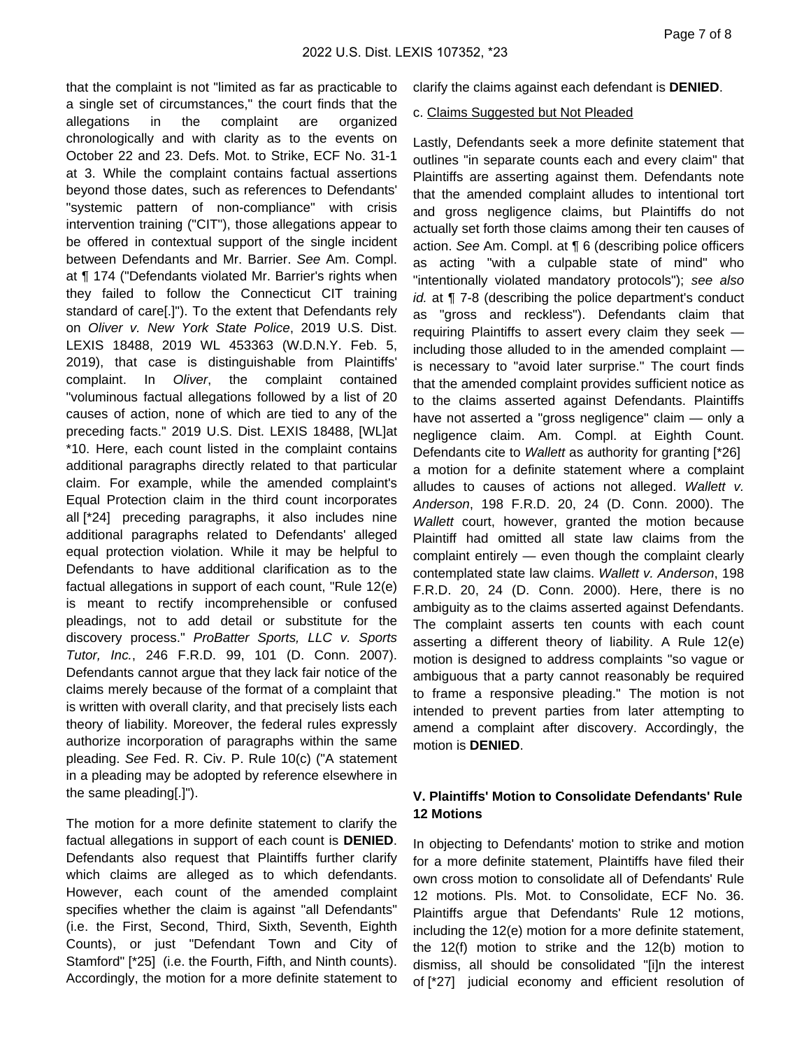that the complaint is not "limited as far as practicable to a single set of circumstances," the court finds that the allegations in the complaint are organized chronologically and with clarity as to the events on October 22 and 23. Defs. Mot. to Strike, ECF No. 31-1 at 3. While the complaint contains factual assertions beyond those dates, such as references to Defendants' "systemic pattern of non-compliance" with crisis intervention training ("CIT"), those allegations appear to be offered in contextual support of the single incident between Defendants and Mr. Barrier. See Am. Compl. at ¶ 174 ("Defendants violated Mr. Barrier's rights when they failed to follow the Connecticut CIT training standard of care[.]"). To the extent that Defendants rely on Oliver v. New York State Police, 2019 U.S. Dist. LEXIS 18488, 2019 WL 453363 (W.D.N.Y. Feb. 5, 2019), that case is distinguishable from Plaintiffs' complaint. In Oliver, the complaint contained "voluminous factual allegations followed by a list of 20 causes of action, none of which are tied to any of the preceding facts." 2019 U.S. Dist. LEXIS 18488, [WL]at \*10. Here, each count listed in the complaint contains additional paragraphs directly related to that particular claim. For example, while the amended complaint's Equal Protection claim in the third count incorporates all [\*24] preceding paragraphs, it also includes nine additional paragraphs related to Defendants' alleged equal protection violation. While it may be helpful to Defendants to have additional clarification as to the factual allegations in support of each count, "Rule 12(e) is meant to rectify incomprehensible or confused pleadings, not to add detail or substitute for the discovery process." ProBatter Sports, LLC v. Sports Tutor, Inc., 246 F.R.D. 99, 101 (D. Conn. 2007). Defendants cannot argue that they lack fair notice of the claims merely because of the format of a complaint that is written with overall clarity, and that precisely lists each theory of liability. Moreover, the federal rules expressly authorize incorporation of paragraphs within the same pleading. See Fed. R. Civ. P. Rule 10(c) ("A statement in a pleading may be adopted by reference elsewhere in the same pleading[.]").

The motion for a more definite statement to clarify the factual allegations in support of each count is **DENIED**. Defendants also request that Plaintiffs further clarify which claims are alleged as to which defendants. However, each count of the amended complaint specifies whether the claim is against "all Defendants" (i.e. the First, Second, Third, Sixth, Seventh, Eighth Counts), or just "Defendant Town and City of Stamford" [\*25] (i.e. the Fourth, Fifth, and Ninth counts). Accordingly, the motion for a more definite statement to

clarify the claims against each defendant is **DENIED**.

### c. Claims Suggested but Not Pleaded

Lastly, Defendants seek a more definite statement that outlines "in separate counts each and every claim" that Plaintiffs are asserting against them. Defendants note that the amended complaint alludes to intentional tort and gross negligence claims, but Plaintiffs do not actually set forth those claims among their ten causes of action. See Am. Compl. at ¶ 6 (describing police officers as acting "with a culpable state of mind" who "intentionally violated mandatory protocols"); see also id. at  $\P$  7-8 (describing the police department's conduct as "gross and reckless"). Defendants claim that requiring Plaintiffs to assert every claim they seek including those alluded to in the amended complaint is necessary to "avoid later surprise." The court finds that the amended complaint provides sufficient notice as to the claims asserted against Defendants. Plaintiffs have not asserted a "gross negligence" claim — only a negligence claim. Am. Compl. at Eighth Count. Defendants cite to Wallett as authority for granting [\*26] a motion for a definite statement where a complaint alludes to causes of actions not alleged. Wallett v. Anderson, 198 F.R.D. 20, 24 (D. Conn. 2000). The Wallett court, however, granted the motion because Plaintiff had omitted all state law claims from the complaint entirely — even though the complaint clearly contemplated state law claims. Wallett v. Anderson, 198 F.R.D. 20, 24 (D. Conn. 2000). Here, there is no ambiguity as to the claims asserted against Defendants. The complaint asserts ten counts with each count asserting a different theory of liability. A Rule 12(e) motion is designed to address complaints "so vague or ambiguous that a party cannot reasonably be required to frame a responsive pleading." The motion is not intended to prevent parties from later attempting to amend a complaint after discovery. Accordingly, the motion is **DENIED**.

## **V. Plaintiffs' Motion to Consolidate Defendants' Rule 12 Motions**

In objecting to Defendants' motion to strike and motion for a more definite statement, Plaintiffs have filed their own cross motion to consolidate all of Defendants' Rule 12 motions. Pls. Mot. to Consolidate, ECF No. 36. Plaintiffs argue that Defendants' Rule 12 motions, including the 12(e) motion for a more definite statement, the 12(f) motion to strike and the 12(b) motion to dismiss, all should be consolidated "[i]n the interest of [\*27] judicial economy and efficient resolution of